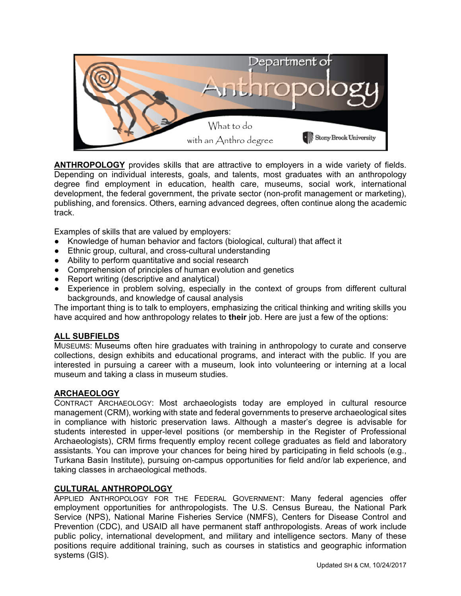

**ANTHROPOLOGY** provides skills that are attractive to employers in a wide variety of fields. Depending on individual interests, goals, and talents, most graduates with an anthropology degree find employment in education, health care, museums, social work, international development, the federal government, the private sector (non-profit management or marketing), publishing, and forensics. Others, earning advanced degrees, often continue along the academic track.

Examples of skills that are valued by employers:

- Knowledge of human behavior and factors (biological, cultural) that affect it
- Ethnic group, cultural, and cross-cultural understanding
- Ability to perform quantitative and social research
- Comprehension of principles of human evolution and genetics
- Report writing (descriptive and analytical)
- Experience in problem solving, especially in the context of groups from different cultural backgrounds, and knowledge of causal analysis

The important thing is to talk to employers, emphasizing the critical thinking and writing skills you have acquired and how anthropology relates to **their** job. Here are just a few of the options:

### **ALL SUBFIELDS**

MUSEUMS: Museums often hire graduates with training in anthropology to curate and conserve collections, design exhibits and educational programs, and interact with the public. If you are interested in pursuing a career with a museum, look into volunteering or interning at a local museum and taking a class in museum studies.

## **ARCHAEOLOGY**

CONTRACT ARCHAEOLOGY: Most archaeologists today are employed in cultural resource management (CRM), working with state and federal governments to preserve archaeological sites in compliance with historic preservation laws. Although a master's degree is advisable for students interested in upper-level positions (or membership in the Register of Professional Archaeologists), CRM firms frequently employ recent college graduates as field and laboratory assistants. You can improve your chances for being hired by participating in field schools (e.g., Turkana Basin Institute), pursuing on-campus opportunities for field and/or lab experience, and taking classes in archaeological methods.

### **CULTURAL ANTHROPOLOGY**

APPLIED ANTHROPOLOGY FOR THE FEDERAL GOVERNMENT: Many federal agencies offer employment opportunities for anthropologists. The U.S. Census Bureau, the National Park Service (NPS), National Marine Fisheries Service (NMFS), Centers for Disease Control and Prevention (CDC), and USAID all have permanent staff anthropologists. Areas of work include public policy, international development, and military and intelligence sectors. Many of these positions require additional training, such as courses in statistics and geographic information systems (GIS).